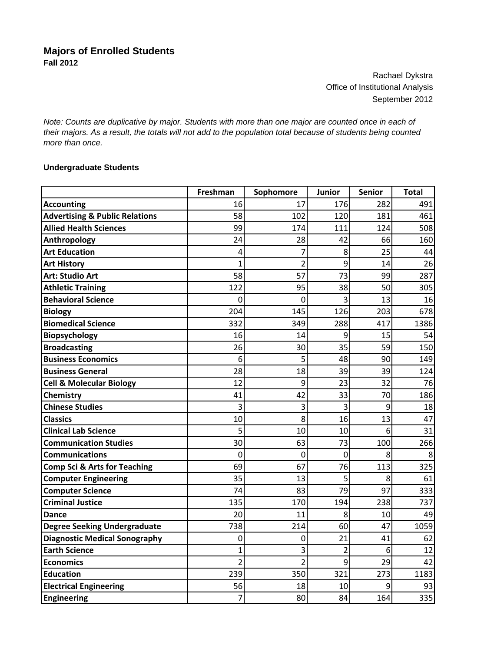Rachael Dykstra Office of Institutional Analysis September 2012

*Note: Counts are duplicative by major. Students with more than one major are counted once in each of their majors. As a result, the totals will not add to the population total because of students being counted more than once.*

## **Undergraduate Students**

|                                           | Freshman       | Sophomore      | Junior | <b>Senior</b> | <b>Total</b> |
|-------------------------------------------|----------------|----------------|--------|---------------|--------------|
| <b>Accounting</b>                         | 16             | 17             | 176    | 282           | 491          |
| <b>Advertising &amp; Public Relations</b> | 58             | 102            | 120    | 181           | 461          |
| <b>Allied Health Sciences</b>             | 99             | 174            | 111    | 124           | 508          |
| Anthropology                              | 24             | 28             | 42     | 66            | 160          |
| <b>Art Education</b>                      | 4              |                | 8      | 25            | 44           |
| <b>Art History</b>                        | 1              | $\overline{2}$ | 9      | 14            | 26           |
| <b>Art: Studio Art</b>                    | 58             | 57             | 73     | 99            | 287          |
| <b>Athletic Training</b>                  | 122            | 95             | 38     | 50            | 305          |
| <b>Behavioral Science</b>                 | 0              | 0              | 3      | 13            | 16           |
| <b>Biology</b>                            | 204            | 145            | 126    | 203           | 678          |
| <b>Biomedical Science</b>                 | 332            | 349            | 288    | 417           | 1386         |
| Biopsychology                             | 16             | 14             | 9      | 15            | 54           |
| <b>Broadcasting</b>                       | 26             | 30             | 35     | 59            | 150          |
| <b>Business Economics</b>                 | 6              | 5              | 48     | 90            | 149          |
| <b>Business General</b>                   | 28             | 18             | 39     | 39            | 124          |
| <b>Cell &amp; Molecular Biology</b>       | 12             | 9              | 23     | 32            | 76           |
| Chemistry                                 | 41             | 42             | 33     | 70            | 186          |
| <b>Chinese Studies</b>                    | 3              | 3              | 3      | 9             | 18           |
| <b>Classics</b>                           | 10             | 8              | 16     | 13            | 47           |
| <b>Clinical Lab Science</b>               | 5              | 10             | 10     | 6             | 31           |
| <b>Communication Studies</b>              | 30             | 63             | 73     | 100           | 266          |
| <b>Communications</b>                     | 0              | 0              | 0      | 8             | 8            |
| <b>Comp Sci &amp; Arts for Teaching</b>   | 69             | 67             | 76     | 113           | 325          |
| <b>Computer Engineering</b>               | 35             | 13             | 5      | 8             | 61           |
| <b>Computer Science</b>                   | 74             | 83             | 79     | 97            | 333          |
| <b>Criminal Justice</b>                   | 135            | 170            | 194    | 238           | 737          |
| Dance                                     | 20             | 11             | 8      | 10            | 49           |
| <b>Degree Seeking Undergraduate</b>       | 738            | 214            | 60     | 47            | 1059         |
| <b>Diagnostic Medical Sonography</b>      | 0              | 0              | 21     | 41            | 62           |
| <b>Earth Science</b>                      | 1              | 3              | 2      | 6             | 12           |
| <b>Economics</b>                          | $\overline{2}$ | $\overline{2}$ | 9      | 29            | 42           |
| <b>Education</b>                          | 239            | 350            | 321    | 273           | 1183         |
| <b>Electrical Engineering</b>             | 56             | 18             | 10     | 9             | 93           |
| Engineering                               | 7              | 80             | 84     | 164           | 335          |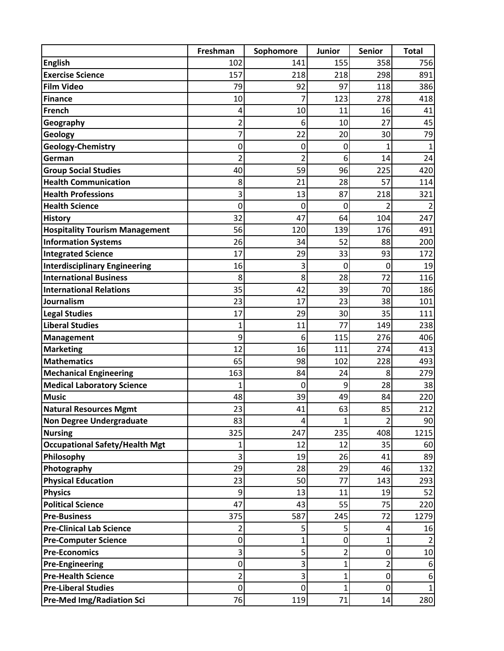|                                       | Freshman       | Sophomore      | Junior         | <b>Senior</b> | <b>Total</b>   |
|---------------------------------------|----------------|----------------|----------------|---------------|----------------|
| <b>English</b>                        | 102            | 141            | 155            | 358           | 756            |
| <b>Exercise Science</b>               | 157            | 218            | 218            | 298           | 891            |
| <b>Film Video</b>                     | 79             | 92             | 97             | 118           | 386            |
| <b>Finance</b>                        | 10             | 7              | 123            | 278           | 418            |
| French                                | 4              | 10             | 11             | 16            | 41             |
| Geography                             | 2              | 6              | 10             | 27            | 45             |
| Geology                               | 7              | 22             | 20             | 30            | 79             |
| Geology-Chemistry                     | 0              | 0              | 0              | 1             | $\mathbf{1}$   |
| German                                | $\overline{2}$ | $\overline{2}$ | 6              | 14            | 24             |
| <b>Group Social Studies</b>           | 40             | 59             | 96             | 225           | 420            |
| <b>Health Communication</b>           | 8              | 21             | 28             | 57            | 114            |
| <b>Health Professions</b>             | 3              | 13             | 87             | 218           | 321            |
| <b>Health Science</b>                 | 0              | 0              | 0              | 2             | $\overline{2}$ |
| <b>History</b>                        | 32             | 47             | 64             | 104           | 247            |
| <b>Hospitality Tourism Management</b> | 56             | 120            | 139            | 176           | 491            |
| <b>Information Systems</b>            | 26             | 34             | 52             | 88            | 200            |
| <b>Integrated Science</b>             | 17             | 29             | 33             | 93            | 172            |
| <b>Interdisciplinary Engineering</b>  | 16             | 3              | $\mathbf 0$    | $\mathbf 0$   | 19             |
| <b>International Business</b>         | 8              | 8              | 28             | 72            | 116            |
| <b>International Relations</b>        | 35             | 42             | 39             | 70            | 186            |
| Journalism                            | 23             | 17             | 23             | 38            | 101            |
| <b>Legal Studies</b>                  | 17             | 29             | 30             | 35            | 111            |
| <b>Liberal Studies</b>                | 1              | 11             | 77             | 149           | 238            |
| <b>Management</b>                     | 9              | 6              | 115            | 276           | 406            |
| <b>Marketing</b>                      | 12             | 16             | 111            | 274           | 413            |
| <b>Mathematics</b>                    | 65             | 98             | 102            | 228           | 493            |
| <b>Mechanical Engineering</b>         | 163            | 84             | 24             | 8             | 279            |
| <b>Medical Laboratory Science</b>     | 1              | $\mathbf 0$    | 9              | 28            | 38             |
| <b>Music</b>                          | 48             | 39             | 49             | 84            | 220            |
| <b>Natural Resources Mgmt</b>         | 23             | 41             | 63             | 85            | 212            |
| <b>Non Degree Undergraduate</b>       | 83             | 4              | 1              | 2             | 90             |
| <b>Nursing</b>                        | 325            | 247            | 235            | 408           | 1215           |
| <b>Occupational Safety/Health Mgt</b> |                | 12             | 12             | 35            | 60             |
| Philosophy                            | 3              | 19             | 26             | 41            | 89             |
| Photography                           | 29             | 28             | 29             | 46            | 132            |
| <b>Physical Education</b>             | 23             | 50             | 77             | 143           | 293            |
| <b>Physics</b>                        | 9              | 13             | 11             | 19            | 52             |
| <b>Political Science</b>              | 47             | 43             | 55             | 75            | 220            |
| <b>Pre-Business</b>                   | 375            | 587            | 245            | 72            | 1279           |
| <b>Pre-Clinical Lab Science</b>       | 2              | 5              | 5              | 4             | 16             |
| <b>Pre-Computer Science</b>           | 0              | 1              | 0              | 1             |                |
| <b>Pre-Economics</b>                  | 3              | 5              | 2              | 0             | 10             |
| <b>Pre-Engineering</b>                | 0              | 3              | 1              | 2             | 6              |
| <b>Pre-Health Science</b>             | 2              | 3              | 1              | 0             | 6              |
| <b>Pre-Liberal Studies</b>            | 0              | 0              | $\overline{1}$ | 0             |                |
| <b>Pre-Med Img/Radiation Sci</b>      | 76             | 119            | 71             | 14            | 280            |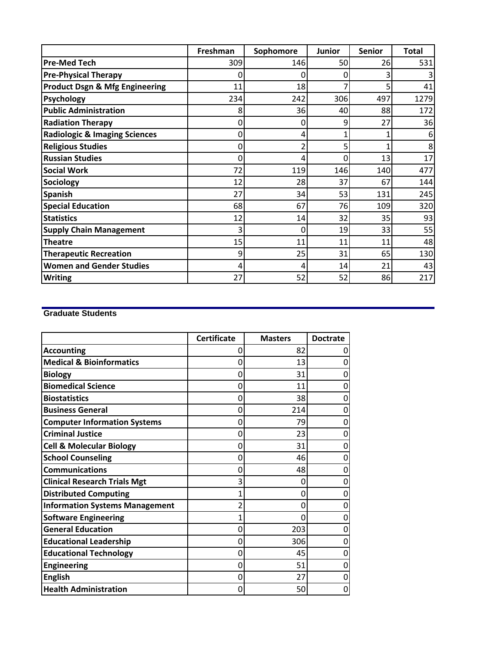|                                           | Freshman | Sophomore | <b>Junior</b> | <b>Senior</b> | Total |
|-------------------------------------------|----------|-----------|---------------|---------------|-------|
| <b>Pre-Med Tech</b>                       | 309      | 146       | 50            | 26            | 531   |
| <b>Pre-Physical Therapy</b>               |          | 0         | O             |               |       |
| <b>Product Dsgn &amp; Mfg Engineering</b> | 11       | 18        |               |               | 41    |
| <b>Psychology</b>                         | 234      | 242       | 306           | 497           | 1279  |
| <b>Public Administration</b>              | 8        | 36        | 40            | 88            | 172   |
| <b>Radiation Therapy</b>                  | 0        | 0         | 9             | 27            | 36    |
| <b>Radiologic &amp; Imaging Sciences</b>  | 0        | 4         |               |               |       |
| <b>Religious Studies</b>                  | 0        |           | 5             |               | 8     |
| <b>Russian Studies</b>                    | 0        | 4         |               | 13            | 17    |
| <b>Social Work</b>                        | 72       | 119       | 146           | 140           | 477   |
| <b>Sociology</b>                          | 12       | 28        | 37            | 67            | 144   |
| <b>Spanish</b>                            | 27       | 34        | 53            | 131           | 245   |
| <b>Special Education</b>                  | 68       | 67        | 76            | 109           | 320   |
| <b>Statistics</b>                         | 12       | 14        | 32            | 35            | 93    |
| <b>Supply Chain Management</b>            | 3        | 0         | 19            | 33            | 55    |
| <b>Theatre</b>                            | 15       | 11        | 11            | 11            | 48    |
| <b>Therapeutic Recreation</b>             | 9        | 25        | 31            | 65            | 130   |
| <b>Women and Gender Studies</b>           |          | 4         | 14            | 21            | 43    |
| <b>Writing</b>                            | 27       | 52        | 52            | 86            | 217   |

## **Graduate Students**

|                                       | <b>Certificate</b> | <b>Masters</b> | <b>Doctrate</b> |
|---------------------------------------|--------------------|----------------|-----------------|
| <b>Accounting</b>                     | 0                  | 82             | 0               |
| <b>Medical &amp; Bioinformatics</b>   | 0                  | 13             | 0               |
| <b>Biology</b>                        | 0                  | 31             | 0               |
| <b>Biomedical Science</b>             | 0                  | 11             | 0               |
| <b>Biostatistics</b>                  | 0                  | 38             | 0               |
| <b>Business General</b>               | 0                  | 214            | 0               |
| <b>Computer Information Systems</b>   | 0                  | 79             | 0               |
| <b>Criminal Justice</b>               | 0                  | 23             | 0               |
| <b>Cell &amp; Molecular Biology</b>   | 0                  | 31             | 0               |
| <b>School Counseling</b>              | 0                  | 46             | 0               |
| <b>Communications</b>                 | 0                  | 48             | 0               |
| <b>Clinical Research Trials Mgt</b>   | 3                  | 0              | 0               |
| <b>Distributed Computing</b>          | 1                  | 0              | 0               |
| <b>Information Systems Management</b> | 2                  | 0              | 0               |
| <b>Software Engineering</b>           | 1                  | 0              | 0               |
| <b>General Education</b>              | 0                  | 203            | 0               |
| <b>Educational Leadership</b>         | 0                  | 306            | 0               |
| <b>Educational Technology</b>         | 0                  | 45             | 0               |
| <b>Engineering</b>                    | 0                  | 51             | 0               |
| <b>English</b>                        | 0                  | 27             | 0               |
| <b>Health Administration</b>          | 0                  | 50             | 0               |